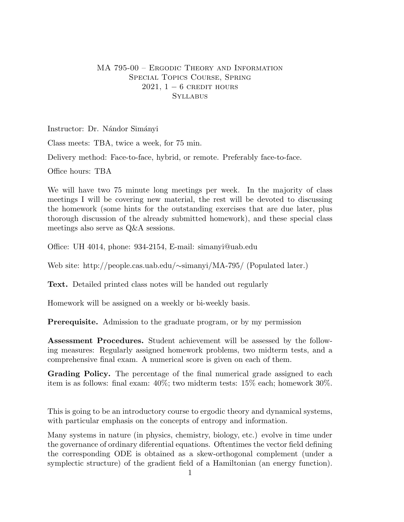## MA 795-00 – Ergodic Theory and Information Special Topics Course, Spring  $2021, 1 - 6$  CREDIT HOURS **SYLLABUS**

Instructor: Dr. Nándor Simányi

Class meets: TBA, twice a week, for 75 min.

Delivery method: Face-to-face, hybrid, or remote. Preferably face-to-face.

Office hours: TBA

We will have two 75 minute long meetings per week. In the majority of class meetings I will be covering new material, the rest will be devoted to discussing the homework (some hints for the outstanding exercises that are due later, plus thorough discussion of the already submitted homework), and these special class meetings also serve as Q&A sessions.

Office: UH 4014, phone: 934-2154, E-mail: simanyi@uab.edu

Web site: http://people.cas.uab.edu/∼simanyi/MA-795/ (Populated later.)

Text. Detailed printed class notes will be handed out regularly

Homework will be assigned on a weekly or bi-weekly basis.

Prerequisite. Admission to the graduate program, or by my permission

Assessment Procedures. Student achievement will be assessed by the following measures: Regularly assigned homework problems, two midterm tests, and a comprehensive final exam. A numerical score is given on each of them.

Grading Policy. The percentage of the final numerical grade assigned to each item is as follows: final exam: 40%; two midterm tests: 15% each; homework 30%.

This is going to be an introductory course to ergodic theory and dynamical systems, with particular emphasis on the concepts of entropy and information.

Many systems in nature (in physics, chemistry, biology, etc.) evolve in time under the governance of ordinary diferential equations. Oftentimes the vector field defining the corresponding ODE is obtained as a skew-orthogonal complement (under a symplectic structure) of the gradient field of a Hamiltonian (an energy function).